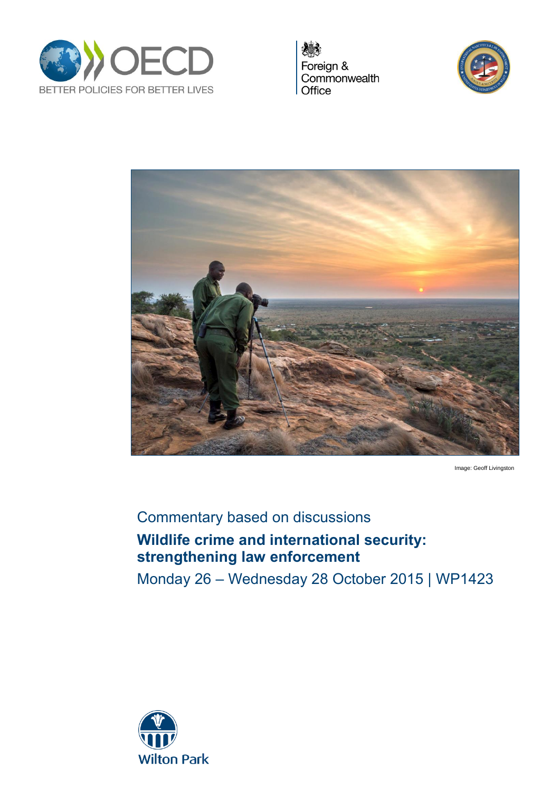

Foreign & Commonwealth Office





Image: Geoff Livingston

# Commentary based on discussions **Wildlife crime and international security: strengthening law enforcement**

Monday 26 – Wednesday 28 October 2015 | WP1423

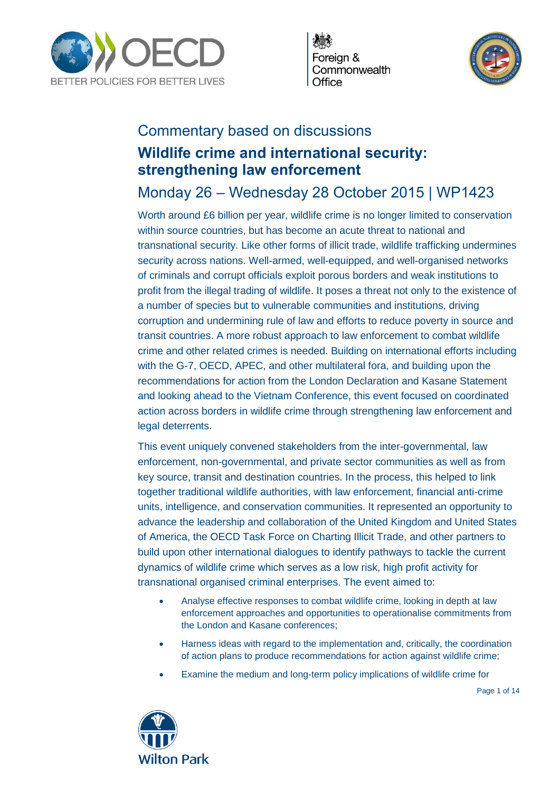

Foreian & Commonwealth Office



# Commentary based on discussions **Wildlife crime and international security: strengthening law enforcement**

# Monday 26 – Wednesday 28 October 2015 | WP1423

Worth around £6 billion per year, wildlife crime is no longer limited to conservation within source countries, but has become an acute threat to national and transnational security. Like other forms of illicit trade, wildlife trafficking undermines security across nations. Well-armed, well-equipped, and well-organised networks of criminals and corrupt officials exploit porous borders and weak institutions to profit from the illegal trading of wildlife. It poses a threat not only to the existence of a number of species but to vulnerable communities and institutions, driving corruption and undermining rule of law and efforts to reduce poverty in source and transit countries. A more robust approach to law enforcement to combat wildlife crime and other related crimes is needed. Building on international efforts including with the G-7, OECD, APEC, and other multilateral fora, and building upon the recommendations for action from the London Declaration and Kasane Statement and looking ahead to the Vietnam Conference, this event focused on coordinated action across borders in wildlife crime through strengthening law enforcement and legal deterrents.

This event uniquely convened stakeholders from the inter-governmental, law enforcement, non-governmental, and private sector communities as well as from key source, transit and destination countries. In the process, this helped to link together traditional wildlife authorities, with law enforcement, financial anti-crime units, intelligence, and conservation communities. It represented an opportunity to advance the leadership and collaboration of the United Kingdom and United States of America, the OECD Task Force on Charting Illicit Trade, and other partners to build upon other international dialogues to identify pathways to tackle the current dynamics of wildlife crime which serves as a low risk, high profit activity for transnational organised criminal enterprises. The event aimed to:

- Analyse effective responses to combat wildlife crime, looking in depth at law enforcement approaches and opportunities to operationalise commitments from the London and Kasane conferences;
- Harness ideas with regard to the implementation and, critically, the coordination of action plans to produce recommendations for action against wildlife crime;
- Examine the medium and long-term policy implications of wildlife crime for



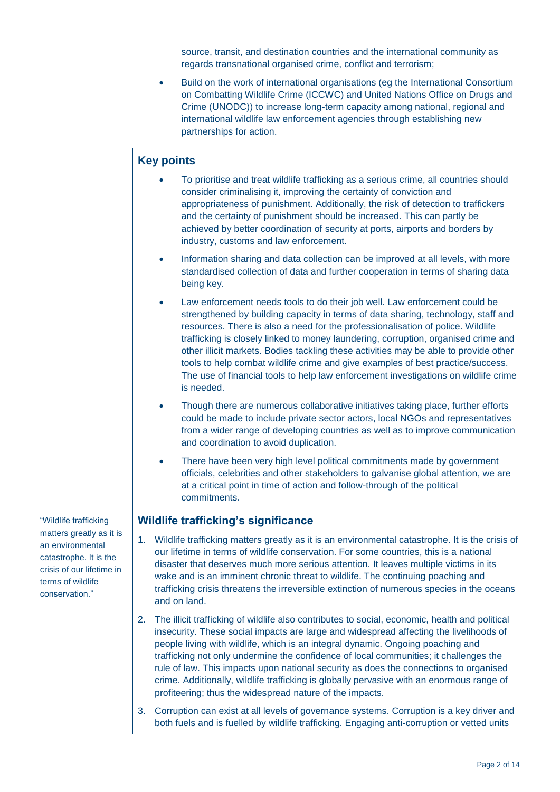source, transit, and destination countries and the international community as regards transnational organised crime, conflict and terrorism;

 Build on the work of international organisations (eg the International Consortium on Combatting Wildlife Crime (ICCWC) and United Nations Office on Drugs and Crime (UNODC)) to increase long-term capacity among national, regional and international wildlife law enforcement agencies through establishing new partnerships for action.

# **Key points**

- To prioritise and treat wildlife trafficking as a serious crime, all countries should consider criminalising it, improving the certainty of conviction and appropriateness of punishment. Additionally, the risk of detection to traffickers and the certainty of punishment should be increased. This can partly be achieved by better coordination of security at ports, airports and borders by industry, customs and law enforcement.
- Information sharing and data collection can be improved at all levels, with more standardised collection of data and further cooperation in terms of sharing data being key.
- Law enforcement needs tools to do their job well. Law enforcement could be strengthened by building capacity in terms of data sharing, technology, staff and resources. There is also a need for the professionalisation of police. Wildlife trafficking is closely linked to money laundering, corruption, organised crime and other illicit markets. Bodies tackling these activities may be able to provide other tools to help combat wildlife crime and give examples of best practice/success. The use of financial tools to help law enforcement investigations on wildlife crime is needed.
- Though there are numerous collaborative initiatives taking place, further efforts could be made to include private sector actors, local NGOs and representatives from a wider range of developing countries as well as to improve communication and coordination to avoid duplication.
- There have been very high level political commitments made by government officials, celebrities and other stakeholders to galvanise global attention, we are at a critical point in time of action and follow-through of the political commitments.

# **Wildlife trafficking's significance**

- 1. Wildlife trafficking matters greatly as it is an environmental catastrophe. It is the crisis of our lifetime in terms of wildlife conservation. For some countries, this is a national disaster that deserves much more serious attention. It leaves multiple victims in its wake and is an imminent chronic threat to wildlife. The continuing poaching and trafficking crisis threatens the irreversible extinction of numerous species in the oceans and on land.
- 2. The illicit trafficking of wildlife also contributes to social, economic, health and political insecurity. These social impacts are large and widespread affecting the livelihoods of people living with wildlife, which is an integral dynamic. Ongoing poaching and trafficking not only undermine the confidence of local communities; it challenges the rule of law. This impacts upon national security as does the connections to organised crime. Additionally, wildlife trafficking is globally pervasive with an enormous range of profiteering; thus the widespread nature of the impacts.
- 3. Corruption can exist at all levels of governance systems. Corruption is a key driver and both fuels and is fuelled by wildlife trafficking. Engaging anti-corruption or vetted units

"Wildlife trafficking matters greatly as it is an environmental catastrophe. It is the crisis of our lifetime in terms of wildlife conservation."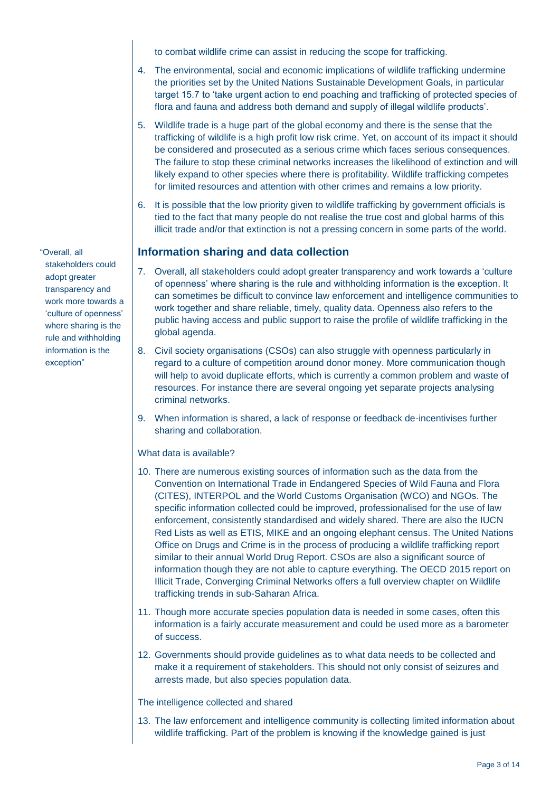to combat wildlife crime can assist in reducing the scope for trafficking.

- 4. The environmental, social and economic implications of wildlife trafficking undermine the priorities set by the United Nations Sustainable Development Goals, in particular target 15.7 to 'take urgent action to end poaching and trafficking of protected species of flora and fauna and address both demand and supply of illegal wildlife products'.
- 5. Wildlife trade is a huge part of the global economy and there is the sense that the trafficking of wildlife is a high profit low risk crime. Yet, on account of its impact it should be considered and prosecuted as a serious crime which faces serious consequences. The failure to stop these criminal networks increases the likelihood of extinction and will likely expand to other species where there is profitability. Wildlife trafficking competes for limited resources and attention with other crimes and remains a low priority.
- 6. It is possible that the low priority given to wildlife trafficking by government officials is tied to the fact that many people do not realise the true cost and global harms of this illicit trade and/or that extinction is not a pressing concern in some parts of the world.

# **Information sharing and data collection**

- 7. Overall, all stakeholders could adopt greater transparency and work towards a 'culture of openness' where sharing is the rule and withholding information is the exception. It can sometimes be difficult to convince law enforcement and intelligence communities to work together and share reliable, timely, quality data. Openness also refers to the public having access and public support to raise the profile of wildlife trafficking in the global agenda.
- 8. Civil society organisations (CSOs) can also struggle with openness particularly in regard to a culture of competition around donor money. More communication though will help to avoid duplicate efforts, which is currently a common problem and waste of resources. For instance there are several ongoing yet separate projects analysing criminal networks.
- 9. When information is shared, a lack of response or feedback de-incentivises further sharing and collaboration.

# What data is available?

- 10. There are numerous existing sources of information such as the data from the Convention on International Trade in Endangered Species of Wild Fauna and Flora (CITES), INTERPOL and the World Customs Organisation (WCO) and NGOs. The specific information collected could be improved, professionalised for the use of law enforcement, consistently standardised and widely shared. There are also the IUCN Red Lists as well as ETIS, MIKE and an ongoing elephant census. The United Nations Office on Drugs and Crime is in the process of producing a wildlife trafficking report similar to their annual World Drug Report. CSOs are also a significant source of information though they are not able to capture everything. The OECD 2015 report on Illicit Trade, Converging Criminal Networks offers a full overview chapter on Wildlife trafficking trends in sub-Saharan Africa.
- 11. Though more accurate species population data is needed in some cases, often this information is a fairly accurate measurement and could be used more as a barometer of success.
- 12. Governments should provide guidelines as to what data needs to be collected and make it a requirement of stakeholders. This should not only consist of seizures and arrests made, but also species population data.

# The intelligence collected and shared

13. The law enforcement and intelligence community is collecting limited information about wildlife trafficking. Part of the problem is knowing if the knowledge gained is just

"Overall, all stakeholders could adopt greater transparency and work more towards a 'culture of openness' where sharing is the rule and withholding information is the exception"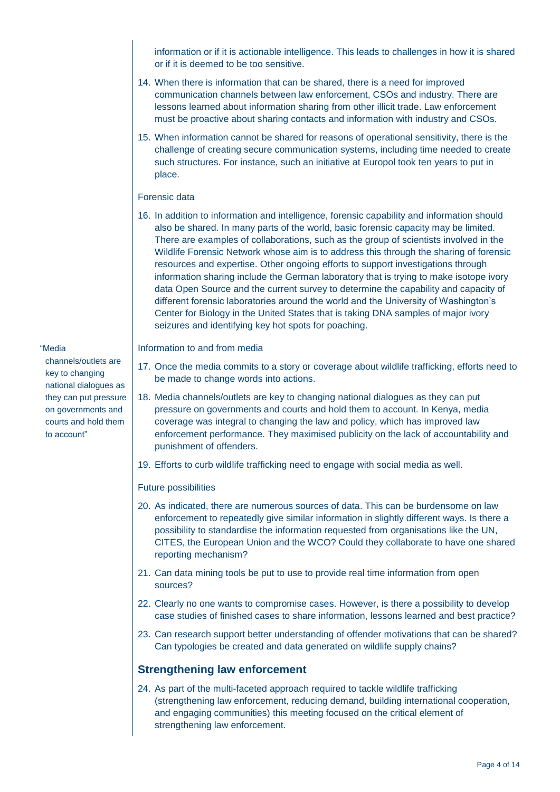information or if it is actionable intelligence. This leads to challenges in how it is shared or if it is deemed to be too sensitive.

- 14. When there is information that can be shared, there is a need for improved communication channels between law enforcement, CSOs and industry. There are lessons learned about information sharing from other illicit trade. Law enforcement must be proactive about sharing contacts and information with industry and CSOs.
- 15. When information cannot be shared for reasons of operational sensitivity, there is the challenge of creating secure communication systems, including time needed to create such structures. For instance, such an initiative at Europol took ten years to put in place.

#### Forensic data

16. In addition to information and intelligence, forensic capability and information should also be shared. In many parts of the world, basic forensic capacity may be limited. There are examples of collaborations, such as the group of scientists involved in the Wildlife Forensic Network whose aim is to address this through the sharing of forensic resources and expertise. Other ongoing efforts to support investigations through information sharing include the German laboratory that is trying to make isotope ivory data Open Source and the current survey to determine the capability and capacity of different forensic laboratories around the world and the University of Washington's Center for Biology in the United States that is taking DNA samples of major ivory seizures and identifying key hot spots for poaching.

Information to and from media

- 17. Once the media commits to a story or coverage about wildlife trafficking, efforts need to be made to change words into actions.
- 18. Media channels/outlets are key to changing national dialogues as they can put pressure on governments and courts and hold them to account. In Kenya, media coverage was integral to changing the law and policy, which has improved law enforcement performance. They maximised publicity on the lack of accountability and punishment of offenders.
- 19. Efforts to curb wildlife trafficking need to engage with social media as well.

# Future possibilities

- 20. As indicated, there are numerous sources of data. This can be burdensome on law enforcement to repeatedly give similar information in slightly different ways. Is there a possibility to standardise the information requested from organisations like the UN, CITES, the European Union and the WCO? Could they collaborate to have one shared reporting mechanism?
- 21. Can data mining tools be put to use to provide real time information from open sources?
- 22. Clearly no one wants to compromise cases. However, is there a possibility to develop case studies of finished cases to share information, lessons learned and best practice?
- 23. Can research support better understanding of offender motivations that can be shared? Can typologies be created and data generated on wildlife supply chains?

# **Strengthening law enforcement**

24. As part of the multi-faceted approach required to tackle wildlife trafficking (strengthening law enforcement, reducing demand, building international cooperation, and engaging communities) this meeting focused on the critical element of strengthening law enforcement.

#### "Media

channels/outlets are key to changing national dialogues as they can put pressure on governments and courts and hold them to account"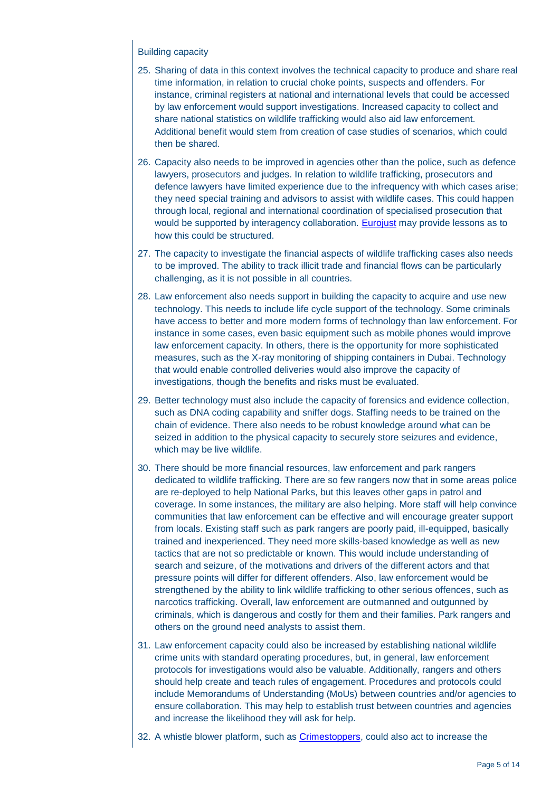# Building capacity

- 25. Sharing of data in this context involves the technical capacity to produce and share real time information, in relation to crucial choke points, suspects and offenders. For instance, criminal registers at national and international levels that could be accessed by law enforcement would support investigations. Increased capacity to collect and share national statistics on wildlife trafficking would also aid law enforcement. Additional benefit would stem from creation of case studies of scenarios, which could then be shared.
- 26. Capacity also needs to be improved in agencies other than the police, such as defence lawyers, prosecutors and judges. In relation to wildlife trafficking, prosecutors and defence lawyers have limited experience due to the infrequency with which cases arise; they need special training and advisors to assist with wildlife cases. This could happen through local, regional and international coordination of specialised prosecution that would be supported by interagency collaboration. [Eurojust](http://www.eurojust.europa.eu/) may provide lessons as to how this could be structured.
- 27. The capacity to investigate the financial aspects of wildlife trafficking cases also needs to be improved. The ability to track illicit trade and financial flows can be particularly challenging, as it is not possible in all countries.
- 28. Law enforcement also needs support in building the capacity to acquire and use new technology. This needs to include life cycle support of the technology. Some criminals have access to better and more modern forms of technology than law enforcement. For instance in some cases, even basic equipment such as mobile phones would improve law enforcement capacity. In others, there is the opportunity for more sophisticated measures, such as the X-ray monitoring of shipping containers in Dubai. Technology that would enable controlled deliveries would also improve the capacity of investigations, though the benefits and risks must be evaluated.
- 29. Better technology must also include the capacity of forensics and evidence collection, such as DNA coding capability and sniffer dogs. Staffing needs to be trained on the chain of evidence. There also needs to be robust knowledge around what can be seized in addition to the physical capacity to securely store seizures and evidence, which may be live wildlife.
- 30. There should be more financial resources, law enforcement and park rangers dedicated to wildlife trafficking. There are so few rangers now that in some areas police are re-deployed to help National Parks, but this leaves other gaps in patrol and coverage. In some instances, the military are also helping. More staff will help convince communities that law enforcement can be effective and will encourage greater support from locals. Existing staff such as park rangers are poorly paid, ill-equipped, basically trained and inexperienced. They need more skills-based knowledge as well as new tactics that are not so predictable or known. This would include understanding of search and seizure, of the motivations and drivers of the different actors and that pressure points will differ for different offenders. Also, law enforcement would be strengthened by the ability to link wildlife trafficking to other serious offences, such as narcotics trafficking. Overall, law enforcement are outmanned and outgunned by criminals, which is dangerous and costly for them and their families. Park rangers and others on the ground need analysts to assist them.
- 31. Law enforcement capacity could also be increased by establishing national wildlife crime units with standard operating procedures, but, in general, law enforcement protocols for investigations would also be valuable. Additionally, rangers and others should help create and teach rules of engagement. Procedures and protocols could include Memorandums of Understanding (MoUs) between countries and/or agencies to ensure collaboration. This may help to establish trust between countries and agencies and increase the likelihood they will ask for help.
- 32. A whistle blower platform, such as [Crimestoppers,](http://www.crimestoppers-uk.org/) could also act to increase the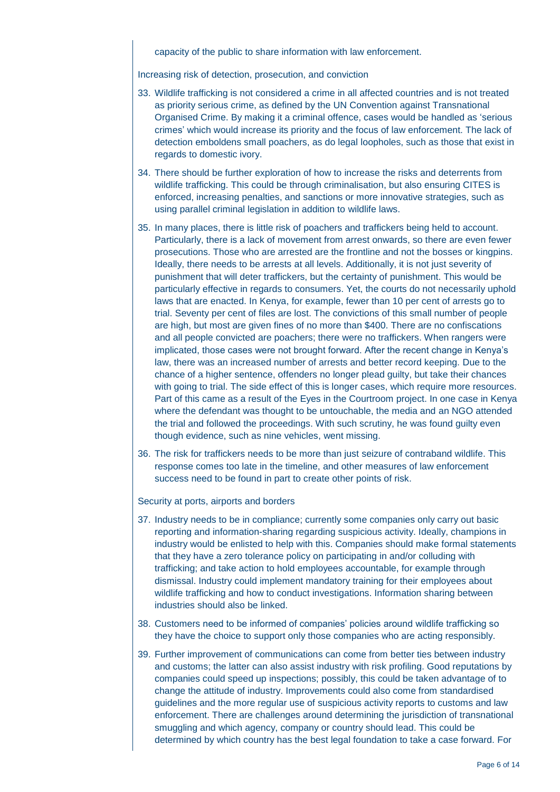capacity of the public to share information with law enforcement.

Increasing risk of detection, prosecution, and conviction

- 33. Wildlife trafficking is not considered a crime in all affected countries and is not treated as priority serious crime, as defined by the UN Convention against Transnational Organised Crime. By making it a criminal offence, cases would be handled as 'serious crimes' which would increase its priority and the focus of law enforcement. The lack of detection emboldens small poachers, as do legal loopholes, such as those that exist in regards to domestic ivory.
- 34. There should be further exploration of how to increase the risks and deterrents from wildlife trafficking. This could be through criminalisation, but also ensuring CITES is enforced, increasing penalties, and sanctions or more innovative strategies, such as using parallel criminal legislation in addition to wildlife laws.
- 35. In many places, there is little risk of poachers and traffickers being held to account. Particularly, there is a lack of movement from arrest onwards, so there are even fewer prosecutions. Those who are arrested are the frontline and not the bosses or kingpins. Ideally, there needs to be arrests at all levels. Additionally, it is not just severity of punishment that will deter traffickers, but the certainty of punishment. This would be particularly effective in regards to consumers. Yet, the courts do not necessarily uphold laws that are enacted. In Kenya, for example, fewer than 10 per cent of arrests go to trial. Seventy per cent of files are lost. The convictions of this small number of people are high, but most are given fines of no more than \$400. There are no confiscations and all people convicted are poachers; there were no traffickers. When rangers were implicated, those cases were not brought forward. After the recent change in Kenya's law, there was an increased number of arrests and better record keeping. Due to the chance of a higher sentence, offenders no longer plead guilty, but take their chances with going to trial. The side effect of this is longer cases, which require more resources. Part of this came as a result of the Eyes in the Courtroom project. In one case in Kenya where the defendant was thought to be untouchable, the media and an NGO attended the trial and followed the proceedings. With such scrutiny, he was found guilty even though evidence, such as nine vehicles, went missing.
- 36. The risk for traffickers needs to be more than just seizure of contraband wildlife. This response comes too late in the timeline, and other measures of law enforcement success need to be found in part to create other points of risk.

Security at ports, airports and borders

- 37. Industry needs to be in compliance; currently some companies only carry out basic reporting and information-sharing regarding suspicious activity. Ideally, champions in industry would be enlisted to help with this. Companies should make formal statements that they have a zero tolerance policy on participating in and/or colluding with trafficking; and take action to hold employees accountable, for example through dismissal. Industry could implement mandatory training for their employees about wildlife trafficking and how to conduct investigations. Information sharing between industries should also be linked.
- 38. Customers need to be informed of companies' policies around wildlife trafficking so they have the choice to support only those companies who are acting responsibly.
- 39. Further improvement of communications can come from better ties between industry and customs; the latter can also assist industry with risk profiling. Good reputations by companies could speed up inspections; possibly, this could be taken advantage of to change the attitude of industry. Improvements could also come from standardised guidelines and the more regular use of suspicious activity reports to customs and law enforcement. There are challenges around determining the jurisdiction of transnational smuggling and which agency, company or country should lead. This could be determined by which country has the best legal foundation to take a case forward. For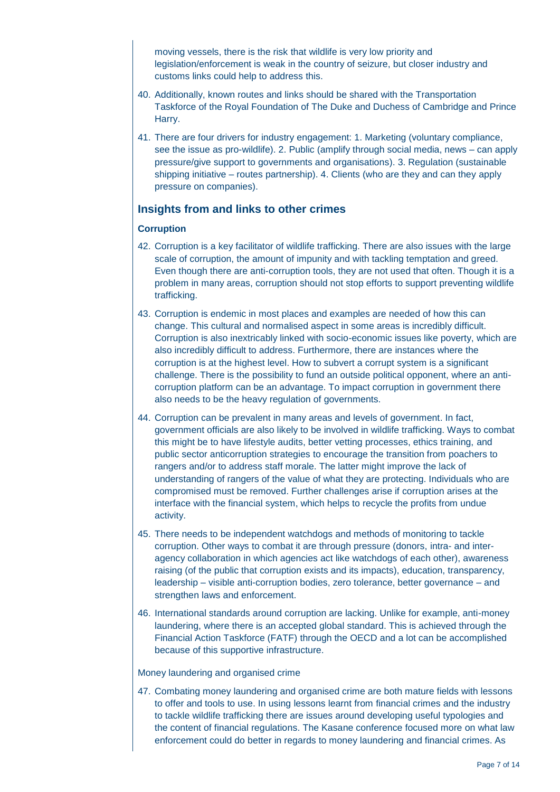moving vessels, there is the risk that wildlife is very low priority and legislation/enforcement is weak in the country of seizure, but closer industry and customs links could help to address this.

- 40. Additionally, known routes and links should be shared with the Transportation Taskforce of the Royal Foundation of The Duke and Duchess of Cambridge and Prince Harry.
- 41. There are four drivers for industry engagement: 1. Marketing (voluntary compliance, see the issue as pro-wildlife). 2. Public (amplify through social media, news – can apply pressure/give support to governments and organisations). 3. Regulation (sustainable shipping initiative – routes partnership). 4. Clients (who are they and can they apply pressure on companies).

# **Insights from and links to other crimes**

# **Corruption**

- 42. Corruption is a key facilitator of wildlife trafficking. There are also issues with the large scale of corruption, the amount of impunity and with tackling temptation and greed. Even though there are anti-corruption tools, they are not used that often. Though it is a problem in many areas, corruption should not stop efforts to support preventing wildlife trafficking.
- 43. Corruption is endemic in most places and examples are needed of how this can change. This cultural and normalised aspect in some areas is incredibly difficult. Corruption is also inextricably linked with socio-economic issues like poverty, which are also incredibly difficult to address. Furthermore, there are instances where the corruption is at the highest level. How to subvert a corrupt system is a significant challenge. There is the possibility to fund an outside political opponent, where an anticorruption platform can be an advantage. To impact corruption in government there also needs to be the heavy regulation of governments.
- 44. Corruption can be prevalent in many areas and levels of government. In fact, government officials are also likely to be involved in wildlife trafficking. Ways to combat this might be to have lifestyle audits, better vetting processes, ethics training, and public sector anticorruption strategies to encourage the transition from poachers to rangers and/or to address staff morale. The latter might improve the lack of understanding of rangers of the value of what they are protecting. Individuals who are compromised must be removed. Further challenges arise if corruption arises at the interface with the financial system, which helps to recycle the profits from undue activity.
- 45. There needs to be independent watchdogs and methods of monitoring to tackle corruption. Other ways to combat it are through pressure (donors, intra- and interagency collaboration in which agencies act like watchdogs of each other), awareness raising (of the public that corruption exists and its impacts), education, transparency, leadership – visible anti-corruption bodies, zero tolerance, better governance – and strengthen laws and enforcement.
- 46. International standards around corruption are lacking. Unlike for example, anti-money laundering, where there is an accepted global standard. This is achieved through the Financial Action Taskforce (FATF) through the OECD and a lot can be accomplished because of this supportive infrastructure.

# Money laundering and organised crime

47. Combating money laundering and organised crime are both mature fields with lessons to offer and tools to use. In using lessons learnt from financial crimes and the industry to tackle wildlife trafficking there are issues around developing useful typologies and the content of financial regulations. The Kasane conference focused more on what law enforcement could do better in regards to money laundering and financial crimes. As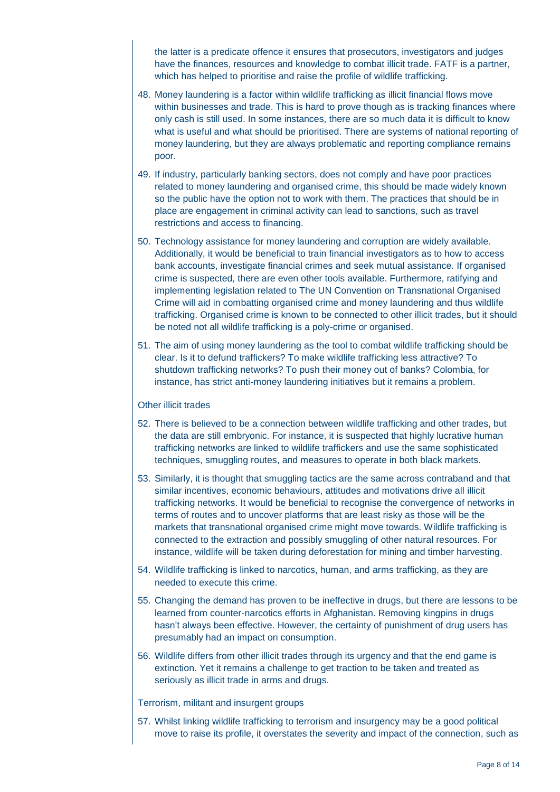the latter is a predicate offence it ensures that prosecutors, investigators and judges have the finances, resources and knowledge to combat illicit trade. FATF is a partner, which has helped to prioritise and raise the profile of wildlife trafficking.

- 48. Money laundering is a factor within wildlife trafficking as illicit financial flows move within businesses and trade. This is hard to prove though as is tracking finances where only cash is still used. In some instances, there are so much data it is difficult to know what is useful and what should be prioritised. There are systems of national reporting of money laundering, but they are always problematic and reporting compliance remains poor.
- 49. If industry, particularly banking sectors, does not comply and have poor practices related to money laundering and organised crime, this should be made widely known so the public have the option not to work with them. The practices that should be in place are engagement in criminal activity can lead to sanctions, such as travel restrictions and access to financing.
- 50. Technology assistance for money laundering and corruption are widely available. Additionally, it would be beneficial to train financial investigators as to how to access bank accounts, investigate financial crimes and seek mutual assistance. If organised crime is suspected, there are even other tools available. Furthermore, ratifying and implementing legislation related to The UN Convention on Transnational Organised Crime will aid in combatting organised crime and money laundering and thus wildlife trafficking. Organised crime is known to be connected to other illicit trades, but it should be noted not all wildlife trafficking is a poly-crime or organised.
- 51. The aim of using money laundering as the tool to combat wildlife trafficking should be clear. Is it to defund traffickers? To make wildlife trafficking less attractive? To shutdown trafficking networks? To push their money out of banks? Colombia, for instance, has strict anti-money laundering initiatives but it remains a problem.

#### Other illicit trades

- 52. There is believed to be a connection between wildlife trafficking and other trades, but the data are still embryonic. For instance, it is suspected that highly lucrative human trafficking networks are linked to wildlife traffickers and use the same sophisticated techniques, smuggling routes, and measures to operate in both black markets.
- 53. Similarly, it is thought that smuggling tactics are the same across contraband and that similar incentives, economic behaviours, attitudes and motivations drive all illicit trafficking networks. It would be beneficial to recognise the convergence of networks in terms of routes and to uncover platforms that are least risky as those will be the markets that transnational organised crime might move towards. Wildlife trafficking is connected to the extraction and possibly smuggling of other natural resources. For instance, wildlife will be taken during deforestation for mining and timber harvesting.
- 54. Wildlife trafficking is linked to narcotics, human, and arms trafficking, as they are needed to execute this crime.
- 55. Changing the demand has proven to be ineffective in drugs, but there are lessons to be learned from counter-narcotics efforts in Afghanistan. Removing kingpins in drugs hasn't always been effective. However, the certainty of punishment of drug users has presumably had an impact on consumption.
- 56. Wildlife differs from other illicit trades through its urgency and that the end game is extinction. Yet it remains a challenge to get traction to be taken and treated as seriously as illicit trade in arms and drugs.

#### Terrorism, militant and insurgent groups

57. Whilst linking wildlife trafficking to terrorism and insurgency may be a good political move to raise its profile, it overstates the severity and impact of the connection, such as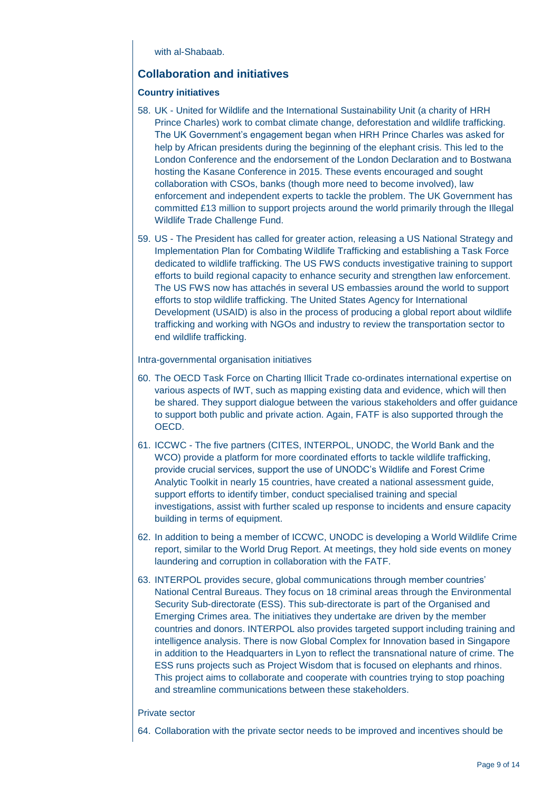with al-Shahaah.

# **Collaboration and initiatives**

# **Country initiatives**

- 58. UK United for Wildlife and the International Sustainability Unit (a charity of HRH Prince Charles) work to combat climate change, deforestation and wildlife trafficking. The UK Government's engagement began when HRH Prince Charles was asked for help by African presidents during the beginning of the elephant crisis. This led to the London Conference and the endorsement of the London Declaration and to Bostwana hosting the Kasane Conference in 2015. These events encouraged and sought collaboration with CSOs, banks (though more need to become involved), law enforcement and independent experts to tackle the problem. The UK Government has committed £13 million to support projects around the world primarily through the Illegal Wildlife Trade Challenge Fund.
- 59. US The President has called for greater action, releasing a US National Strategy and Implementation Plan for Combating Wildlife Trafficking and establishing a Task Force dedicated to wildlife trafficking. The US FWS conducts investigative training to support efforts to build regional capacity to enhance security and strengthen law enforcement. The US FWS now has attachés in several US embassies around the world to support efforts to stop wildlife trafficking. The United States Agency for International Development (USAID) is also in the process of producing a global report about wildlife trafficking and working with NGOs and industry to review the transportation sector to end wildlife trafficking.

#### Intra-governmental organisation initiatives

- 60. The OECD Task Force on Charting Illicit Trade co-ordinates international expertise on various aspects of IWT, such as mapping existing data and evidence, which will then be shared. They support dialogue between the various stakeholders and offer guidance to support both public and private action. Again, FATF is also supported through the OECD.
- 61. ICCWC The five partners (CITES, INTERPOL, UNODC, the World Bank and the WCO) provide a platform for more coordinated efforts to tackle wildlife trafficking, provide crucial services, support the use of UNODC's Wildlife and Forest Crime Analytic Toolkit in nearly 15 countries, have created a national assessment guide, support efforts to identify timber, conduct specialised training and special investigations, assist with further scaled up response to incidents and ensure capacity building in terms of equipment.
- 62. In addition to being a member of ICCWC, UNODC is developing a World Wildlife Crime report, similar to the World Drug Report. At meetings, they hold side events on money laundering and corruption in collaboration with the FATF.
- 63. INTERPOL provides secure, global communications through member countries' National Central Bureaus. They focus on 18 criminal areas through the Environmental Security Sub-directorate (ESS). This sub-directorate is part of the Organised and Emerging Crimes area. The initiatives they undertake are driven by the member countries and donors. INTERPOL also provides targeted support including training and intelligence analysis. There is now Global Complex for Innovation based in Singapore in addition to the Headquarters in Lyon to reflect the transnational nature of crime. The ESS runs projects such as Project Wisdom that is focused on elephants and rhinos. This project aims to collaborate and cooperate with countries trying to stop poaching and streamline communications between these stakeholders.

#### Private sector

64. Collaboration with the private sector needs to be improved and incentives should be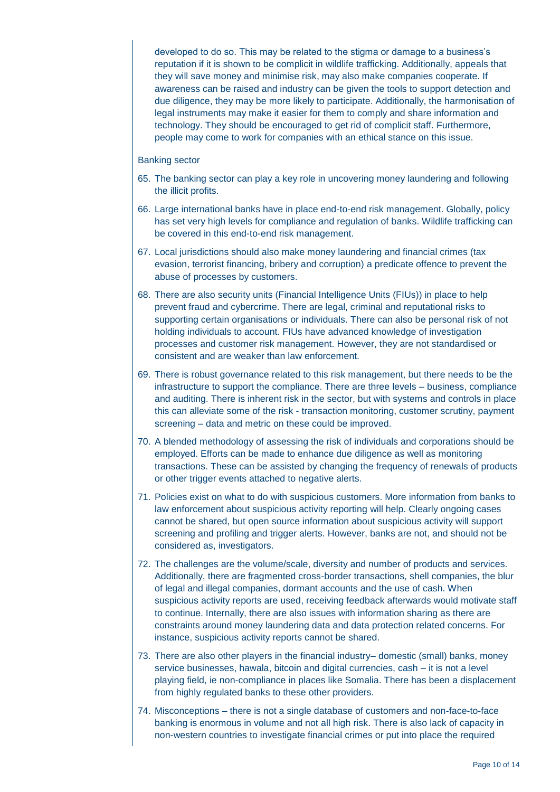developed to do so. This may be related to the stigma or damage to a business's reputation if it is shown to be complicit in wildlife trafficking. Additionally, appeals that they will save money and minimise risk, may also make companies cooperate. If awareness can be raised and industry can be given the tools to support detection and due diligence, they may be more likely to participate. Additionally, the harmonisation of legal instruments may make it easier for them to comply and share information and technology. They should be encouraged to get rid of complicit staff. Furthermore, people may come to work for companies with an ethical stance on this issue.

#### Banking sector

- 65. The banking sector can play a key role in uncovering money laundering and following the illicit profits.
- 66. Large international banks have in place end-to-end risk management. Globally, policy has set very high levels for compliance and regulation of banks. Wildlife trafficking can be covered in this end-to-end risk management.
- 67. Local jurisdictions should also make money laundering and financial crimes (tax evasion, terrorist financing, bribery and corruption) a predicate offence to prevent the abuse of processes by customers.
- 68. There are also security units (Financial Intelligence Units (FIUs)) in place to help prevent fraud and cybercrime. There are legal, criminal and reputational risks to supporting certain organisations or individuals. There can also be personal risk of not holding individuals to account. FIUs have advanced knowledge of investigation processes and customer risk management. However, they are not standardised or consistent and are weaker than law enforcement.
- 69. There is robust governance related to this risk management, but there needs to be the infrastructure to support the compliance. There are three levels – business, compliance and auditing. There is inherent risk in the sector, but with systems and controls in place this can alleviate some of the risk - transaction monitoring, customer scrutiny, payment screening – data and metric on these could be improved.
- 70. A blended methodology of assessing the risk of individuals and corporations should be employed. Efforts can be made to enhance due diligence as well as monitoring transactions. These can be assisted by changing the frequency of renewals of products or other trigger events attached to negative alerts.
- 71. Policies exist on what to do with suspicious customers. More information from banks to law enforcement about suspicious activity reporting will help. Clearly ongoing cases cannot be shared, but open source information about suspicious activity will support screening and profiling and trigger alerts. However, banks are not, and should not be considered as, investigators.
- 72. The challenges are the volume/scale, diversity and number of products and services. Additionally, there are fragmented cross-border transactions, shell companies, the blur of legal and illegal companies, dormant accounts and the use of cash. When suspicious activity reports are used, receiving feedback afterwards would motivate staff to continue. Internally, there are also issues with information sharing as there are constraints around money laundering data and data protection related concerns. For instance, suspicious activity reports cannot be shared.
- 73. There are also other players in the financial industry– domestic (small) banks, money service businesses, hawala, bitcoin and digital currencies, cash – it is not a level playing field, ie non-compliance in places like Somalia. There has been a displacement from highly regulated banks to these other providers.
- 74. Misconceptions there is not a single database of customers and non-face-to-face banking is enormous in volume and not all high risk. There is also lack of capacity in non-western countries to investigate financial crimes or put into place the required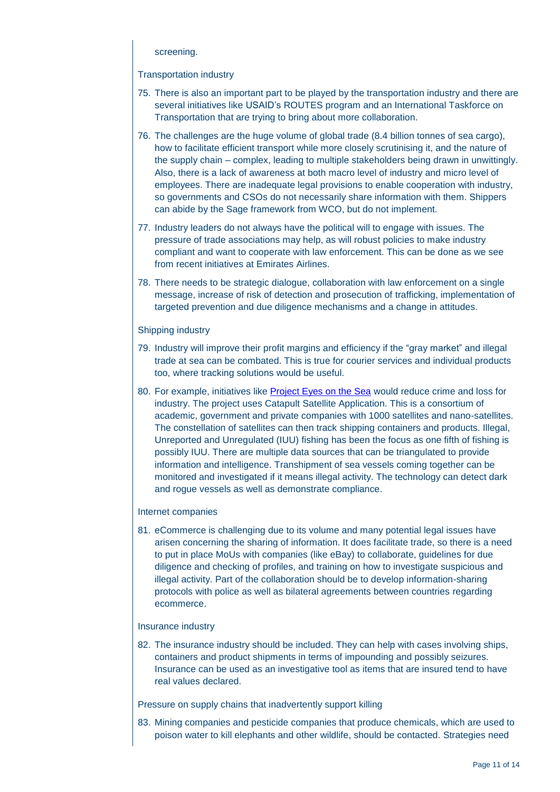#### screening.

#### Transportation industry

- 75. There is also an important part to be played by the transportation industry and there are several initiatives like USAID's ROUTES program and an International Taskforce on Transportation that are trying to bring about more collaboration.
- 76. The challenges are the huge volume of global trade (8.4 billion tonnes of sea cargo), how to facilitate efficient transport while more closely scrutinising it, and the nature of the supply chain – complex, leading to multiple stakeholders being drawn in unwittingly. Also, there is a lack of awareness at both macro level of industry and micro level of employees. There are inadequate legal provisions to enable cooperation with industry, so governments and CSOs do not necessarily share information with them. Shippers can abide by the Sage framework from WCO, but do not implement.
- 77. Industry leaders do not always have the political will to engage with issues. The pressure of trade associations may help, as will robust policies to make industry compliant and want to cooperate with law enforcement. This can be done as we see from recent initiatives at Emirates Airlines.
- 78. There needs to be strategic dialogue, collaboration with law enforcement on a single message, increase of risk of detection and prosecution of trafficking, implementation of targeted prevention and due diligence mechanisms and a change in attitudes.

#### Shipping industry

- 79. Industry will improve their profit margins and efficiency if the "gray market" and illegal trade at sea can be combated. This is true for courier services and individual products too, where tracking solutions would be useful.
- 80. For example, initiatives like [Project Eyes on the Sea](https://sa.catapult.org.uk/-/catapult-and-pew-charitable-trusts-launch-pioneering-technology-to-help-end-illegal-fishing) would reduce crime and loss for industry. The project uses Catapult Satellite Application. This is a consortium of academic, government and private companies with 1000 satellites and nano-satellites. The constellation of satellites can then track shipping containers and products. Illegal, Unreported and Unregulated (IUU) fishing has been the focus as one fifth of fishing is possibly IUU. There are multiple data sources that can be triangulated to provide information and intelligence. Transhipment of sea vessels coming together can be monitored and investigated if it means illegal activity. The technology can detect dark and rogue vessels as well as demonstrate compliance.

# Internet companies

81. eCommerce is challenging due to its volume and many potential legal issues have arisen concerning the sharing of information. It does facilitate trade, so there is a need to put in place MoUs with companies (like eBay) to collaborate, guidelines for due diligence and checking of profiles, and training on how to investigate suspicious and illegal activity. Part of the collaboration should be to develop information-sharing protocols with police as well as bilateral agreements between countries regarding ecommerce.

#### Insurance industry

82. The insurance industry should be included. They can help with cases involving ships, containers and product shipments in terms of impounding and possibly seizures. Insurance can be used as an investigative tool as items that are insured tend to have real values declared.

Pressure on supply chains that inadvertently support killing

83. Mining companies and pesticide companies that produce chemicals, which are used to poison water to kill elephants and other wildlife, should be contacted. Strategies need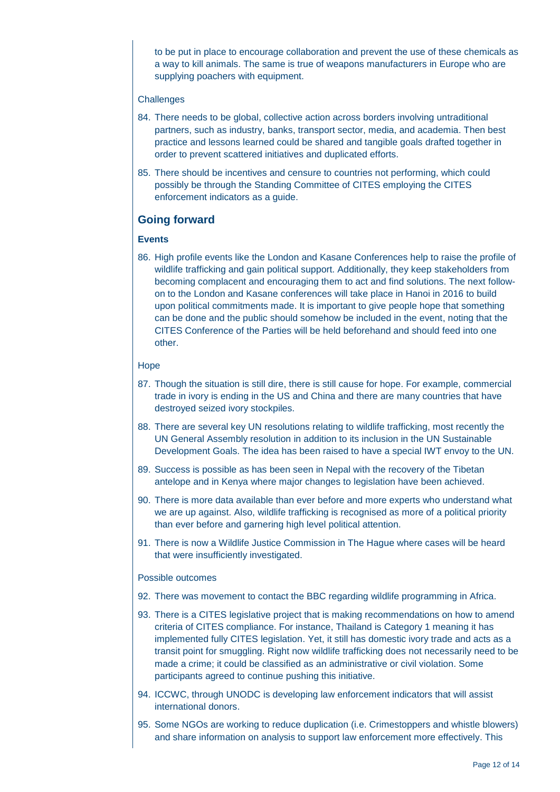to be put in place to encourage collaboration and prevent the use of these chemicals as a way to kill animals. The same is true of weapons manufacturers in Europe who are supplying poachers with equipment.

#### **Challenges**

- 84. There needs to be global, collective action across borders involving untraditional partners, such as industry, banks, transport sector, media, and academia. Then best practice and lessons learned could be shared and tangible goals drafted together in order to prevent scattered initiatives and duplicated efforts.
- 85. There should be incentives and censure to countries not performing, which could possibly be through the Standing Committee of CITES employing the CITES enforcement indicators as a guide.

# **Going forward**

#### **Events**

86. High profile events like the London and Kasane Conferences help to raise the profile of wildlife trafficking and gain political support. Additionally, they keep stakeholders from becoming complacent and encouraging them to act and find solutions. The next followon to the London and Kasane conferences will take place in Hanoi in 2016 to build upon political commitments made. It is important to give people hope that something can be done and the public should somehow be included in the event, noting that the CITES Conference of the Parties will be held beforehand and should feed into one other.

#### Hope

- 87. Though the situation is still dire, there is still cause for hope. For example, commercial trade in ivory is ending in the US and China and there are many countries that have destroyed seized ivory stockpiles.
- 88. There are several key UN resolutions relating to wildlife trafficking, most recently the UN General Assembly resolution in addition to its inclusion in the UN Sustainable Development Goals. The idea has been raised to have a special IWT envoy to the UN.
- 89. Success is possible as has been seen in Nepal with the recovery of the Tibetan antelope and in Kenya where major changes to legislation have been achieved.
- 90. There is more data available than ever before and more experts who understand what we are up against. Also, wildlife trafficking is recognised as more of a political priority than ever before and garnering high level political attention.
- 91. There is now a Wildlife Justice Commission in The Hague where cases will be heard that were insufficiently investigated.

#### Possible outcomes

- 92. There was movement to contact the BBC regarding wildlife programming in Africa.
- 93. There is a CITES legislative project that is making recommendations on how to amend criteria of CITES compliance. For instance, Thailand is Category 1 meaning it has implemented fully CITES legislation. Yet, it still has domestic ivory trade and acts as a transit point for smuggling. Right now wildlife trafficking does not necessarily need to be made a crime; it could be classified as an administrative or civil violation. Some participants agreed to continue pushing this initiative.
- 94. ICCWC, through UNODC is developing law enforcement indicators that will assist international donors.
- 95. Some NGOs are working to reduce duplication (i.e. Crimestoppers and whistle blowers) and share information on analysis to support law enforcement more effectively. This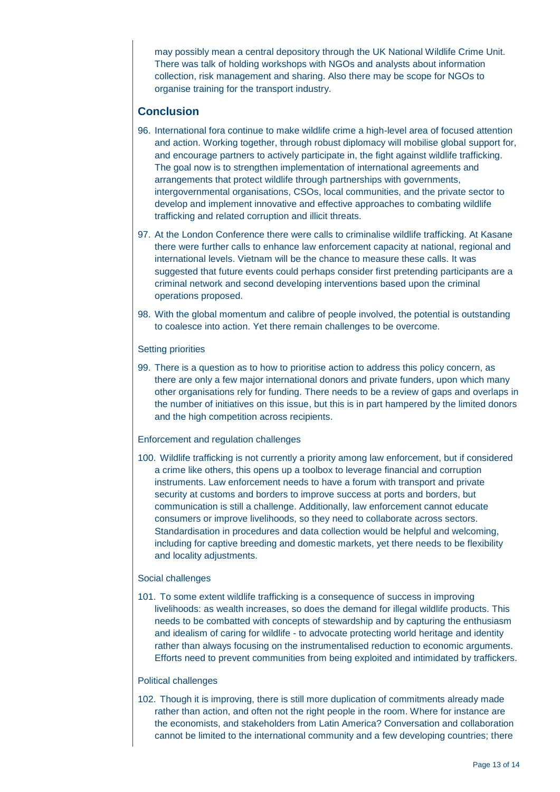may possibly mean a central depository through the UK National Wildlife Crime Unit. There was talk of holding workshops with NGOs and analysts about information collection, risk management and sharing. Also there may be scope for NGOs to organise training for the transport industry.

# **Conclusion**

- 96. International fora continue to make wildlife crime a high-level area of focused attention and action. Working together, through robust diplomacy will mobilise global support for, and encourage partners to actively participate in, the fight against wildlife trafficking. The goal now is to strengthen implementation of international agreements and arrangements that protect wildlife through partnerships with governments, intergovernmental organisations, CSOs, local communities, and the private sector to develop and implement innovative and effective approaches to combating wildlife trafficking and related corruption and illicit threats.
- 97. At the London Conference there were calls to criminalise wildlife trafficking. At Kasane there were further calls to enhance law enforcement capacity at national, regional and international levels. Vietnam will be the chance to measure these calls. It was suggested that future events could perhaps consider first pretending participants are a criminal network and second developing interventions based upon the criminal operations proposed.
- 98. With the global momentum and calibre of people involved, the potential is outstanding to coalesce into action. Yet there remain challenges to be overcome.

# Setting priorities

99. There is a question as to how to prioritise action to address this policy concern, as there are only a few major international donors and private funders, upon which many other organisations rely for funding. There needs to be a review of gaps and overlaps in the number of initiatives on this issue, but this is in part hampered by the limited donors and the high competition across recipients.

# Enforcement and regulation challenges

100. Wildlife trafficking is not currently a priority among law enforcement, but if considered a crime like others, this opens up a toolbox to leverage financial and corruption instruments. Law enforcement needs to have a forum with transport and private security at customs and borders to improve success at ports and borders, but communication is still a challenge. Additionally, law enforcement cannot educate consumers or improve livelihoods, so they need to collaborate across sectors. Standardisation in procedures and data collection would be helpful and welcoming, including for captive breeding and domestic markets, yet there needs to be flexibility and locality adjustments.

# Social challenges

101. To some extent wildlife trafficking is a consequence of success in improving livelihoods: as wealth increases, so does the demand for illegal wildlife products. This needs to be combatted with concepts of stewardship and by capturing the enthusiasm and idealism of caring for wildlife - to advocate protecting world heritage and identity rather than always focusing on the instrumentalised reduction to economic arguments. Efforts need to prevent communities from being exploited and intimidated by traffickers.

# Political challenges

102. Though it is improving, there is still more duplication of commitments already made rather than action, and often not the right people in the room. Where for instance are the economists, and stakeholders from Latin America? Conversation and collaboration cannot be limited to the international community and a few developing countries; there